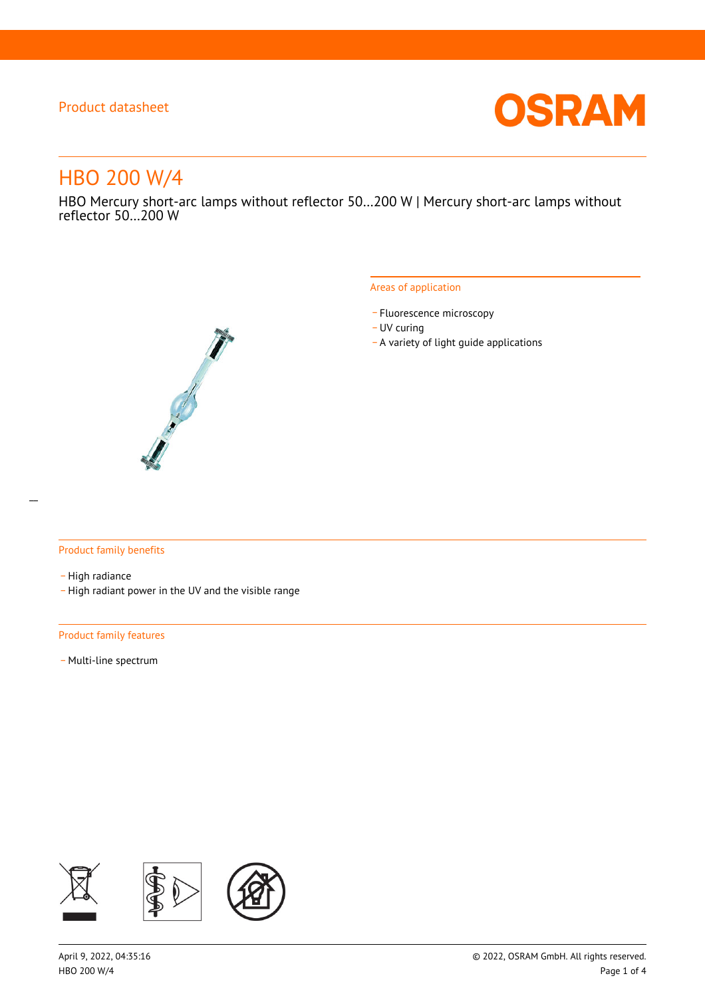

# HBO 200 W/4

HBO Mercury short-arc lamps without reflector 50…200 W | Mercury short-arc lamps without reflector 50…200 W



#### Areas of application

- Fluorescence microscopy
- UV curing
- \_ A variety of light guide applications

### Product family benefits

- High radiance
- \_ High radiant power in the UV and the visible range

#### Product family features

- Multi-line spectrum

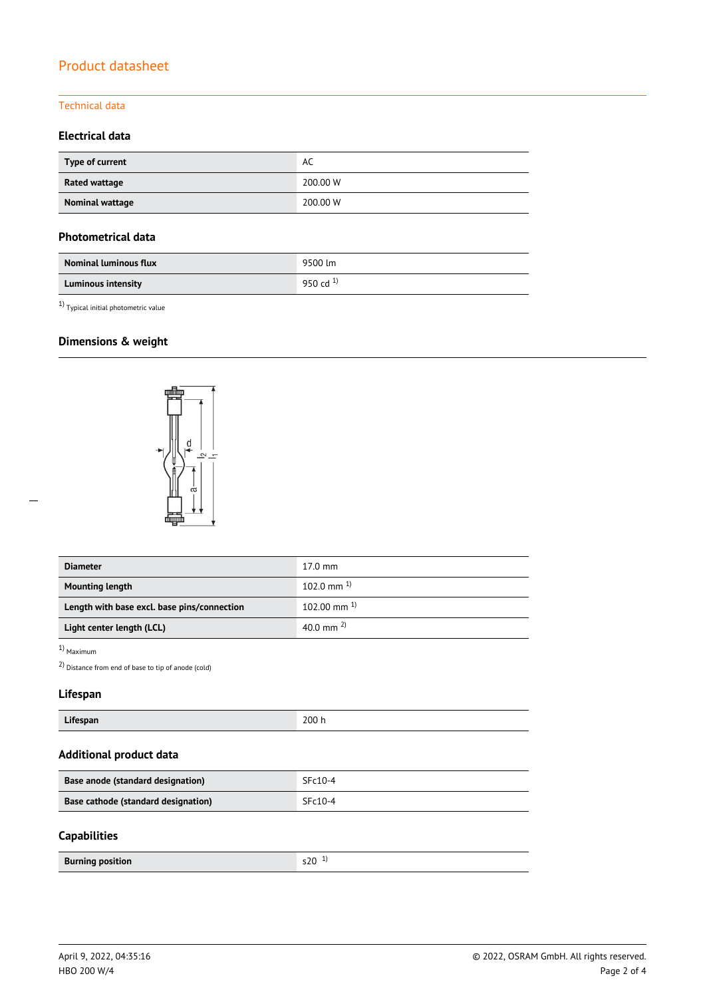### Technical data

## **Electrical data**

| Type of current | AC       |  |
|-----------------|----------|--|
| Rated wattage   | 200,00 W |  |
| Nominal wattage | 200,00 W |  |

### **Photometrical data**

| <b>Nominal luminous flux</b> | 9500 lm       |
|------------------------------|---------------|
| <b>Luminous intensity</b>    | 950 cd $^{1}$ |

1) Typical initial photometric value

# **Dimensions & weight**



| <b>Diameter</b>                             | $17.0 \text{ mm}$  |
|---------------------------------------------|--------------------|
| <b>Mounting length</b>                      | 102.0 mm $^{1}$    |
| Length with base excl. base pins/connection | $102.00$ mm $^{1}$ |
| Light center length (LCL)                   | 40.0 mm $^{2}$     |

### 1) Maximum

2) Distance from end of base to tip of anode (cold)

### **Lifespan**

|--|

# **Additional product data**

| Base anode (standard designation)   | $SFc10-4$ |
|-------------------------------------|-----------|
| Base cathode (standard designation) | $SFc10-4$ |

### **Capabilities**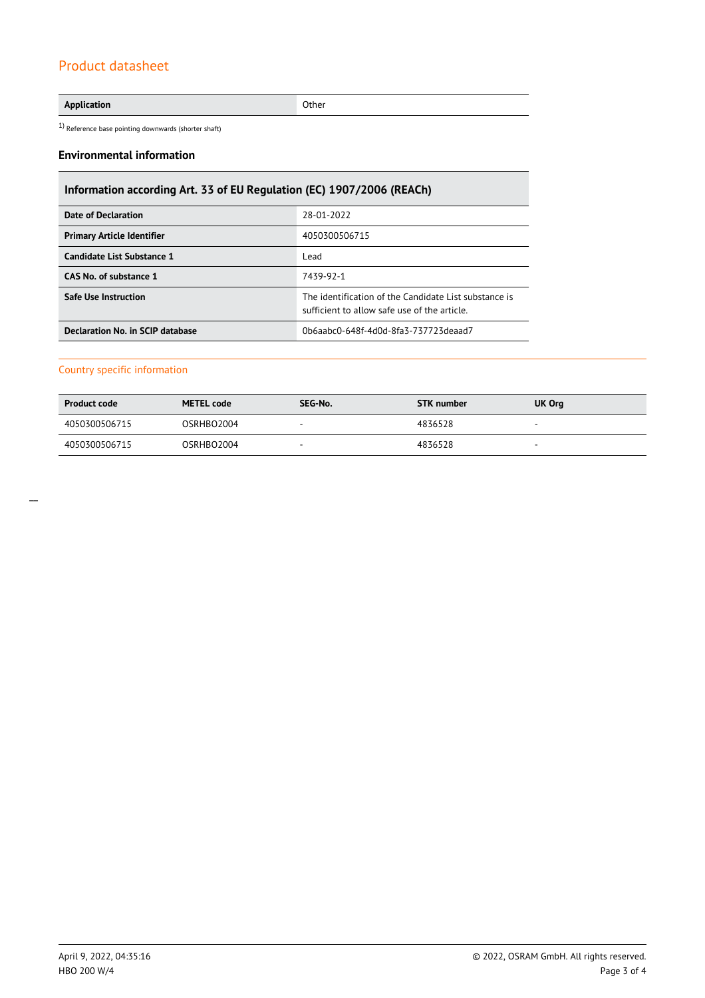**Application** Other

 $1)$  Reference base pointing downwards (shorter shaft)

#### **Environmental information**

# **Information according Art. 33 of EU Regulation (EC) 1907/2006 (REACh)**

| Date of Declaration               | 28-01-2022                                                                                            |
|-----------------------------------|-------------------------------------------------------------------------------------------------------|
| <b>Primary Article Identifier</b> | 4050300506715                                                                                         |
| Candidate List Substance 1        | Lead                                                                                                  |
| CAS No. of substance 1            | 7439-92-1                                                                                             |
| <b>Safe Use Instruction</b>       | The identification of the Candidate List substance is<br>sufficient to allow safe use of the article. |
| Declaration No. in SCIP database  | 0b6aabc0-648f-4d0d-8fa3-737723deaad7                                                                  |

### Country specific information

| <b>Product code</b> | <b>METEL code</b> | SEG-No. | STK number | UK Org                   |
|---------------------|-------------------|---------|------------|--------------------------|
| 4050300506715       | OSRHBO2004        | -       | 4836528    | $\overline{\phantom{a}}$ |
| 4050300506715       | OSRHBO2004        |         | 4836528    | -                        |